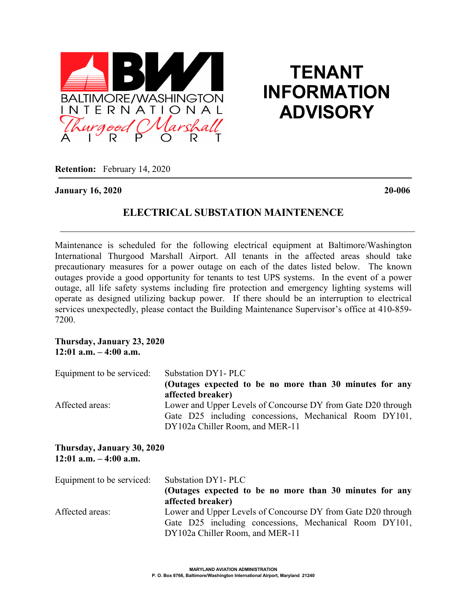

# **TENANT INFORMATION ADVISORY**

**Retention:** February 14, 2020

### **January 16, 2020 20-006**

## **ELECTRICAL SUBSTATION MAINTENENCE**

Maintenance is scheduled for the following electrical equipment at Baltimore/Washington International Thurgood Marshall Airport. All tenants in the affected areas should take precautionary measures for a power outage on each of the dates listed below. The known outages provide a good opportunity for tenants to test UPS systems. In the event of a power outage, all life safety systems including fire protection and emergency lighting systems will operate as designed utilizing backup power. If there should be an interruption to electrical services unexpectedly, please contact the Building Maintenance Supervisor's office at 410-859- 7200.

#### **Thursday, January 23, 2020 12:01 a.m. – 4:00 a.m.**

| Equipment to be serviced:                       | Substation DY1-PLC                                           |
|-------------------------------------------------|--------------------------------------------------------------|
|                                                 | (Outages expected to be no more than 30 minutes for any      |
|                                                 | affected breaker)                                            |
| Affected areas:                                 | Lower and Upper Levels of Concourse DY from Gate D20 through |
|                                                 | Gate D25 including concessions, Mechanical Room DY101,       |
|                                                 | DY102a Chiller Room, and MER-11                              |
| Thursday, January 30, 2020                      |                                                              |
| $12:01$ a.m. $-4:00$ a.m.                       |                                                              |
|                                                 |                                                              |
| $\mathbf{r}$ . If $\mathbf{r}$ all $\mathbf{r}$ |                                                              |

| Equipment to be serviced: | Substation DY1-PLC                                           |
|---------------------------|--------------------------------------------------------------|
|                           | (Outages expected to be no more than 30 minutes for any      |
|                           | affected breaker)                                            |
| Affected areas:           | Lower and Upper Levels of Concourse DY from Gate D20 through |
|                           | Gate D25 including concessions, Mechanical Room DY101,       |
|                           | DY102a Chiller Room, and MER-11                              |